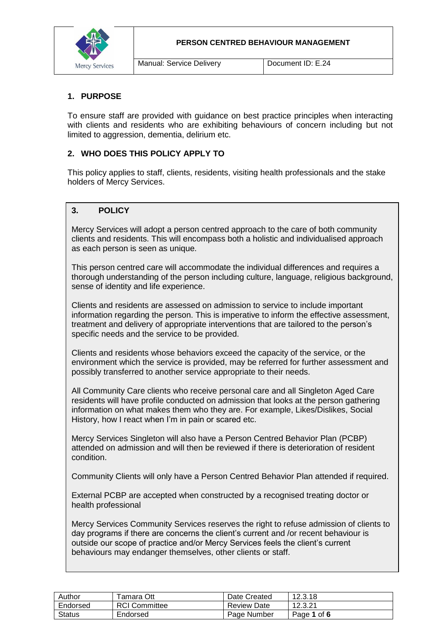**PERSON CENTRED BEHAVIOUR MANAGEMENT**



#### **1. PURPOSE**

To ensure staff are provided with guidance on best practice principles when interacting with clients and residents who are exhibiting behaviours of concern including but not limited to aggression, dementia, delirium etc.

#### **2. WHO DOES THIS POLICY APPLY TO**

This policy applies to staff, clients, residents, visiting health professionals and the stake holders of Mercy Services.

## **3. POLICY**

Mercy Services will adopt a person centred approach to the care of both community clients and residents. This will encompass both a holistic and individualised approach as each person is seen as unique.

This person centred care will accommodate the individual differences and requires a thorough understanding of the person including culture, language, religious background, sense of identity and life experience.

Clients and residents are assessed on admission to service to include important information regarding the person. This is imperative to inform the effective assessment, treatment and delivery of appropriate interventions that are tailored to the person's specific needs and the service to be provided.

Clients and residents whose behaviors exceed the capacity of the service, or the environment which the service is provided, may be referred for further assessment and possibly transferred to another service appropriate to their needs.

All Community Care clients who receive personal care and all Singleton Aged Care residents will have profile conducted on admission that looks at the person gathering information on what makes them who they are. For example, Likes/Dislikes, Social History, how I react when I'm in pain or scared etc.

Mercy Services Singleton will also have a Person Centred Behavior Plan (PCBP) attended on admission and will then be reviewed if there is deterioration of resident condition.

Community Clients will only have a Person Centred Behavior Plan attended if required.

External PCBP are accepted when constructed by a recognised treating doctor or health professional

Mercy Services Community Services reserves the right to refuse admission of clients to day programs if there are concerns the client's current and /or recent behaviour is outside our scope of practice and/or Mercy Services feels the client's current behaviours may endanger themselves, other clients or staff.

| Author        | Гаmara Ott           | Date Created       | 12.3.18     |
|---------------|----------------------|--------------------|-------------|
| Endorsed      | <b>RCI Committee</b> | <b>Review Date</b> | 12.3.21     |
| <b>Status</b> | Endorsed             | Page Number        | Page 1 of 6 |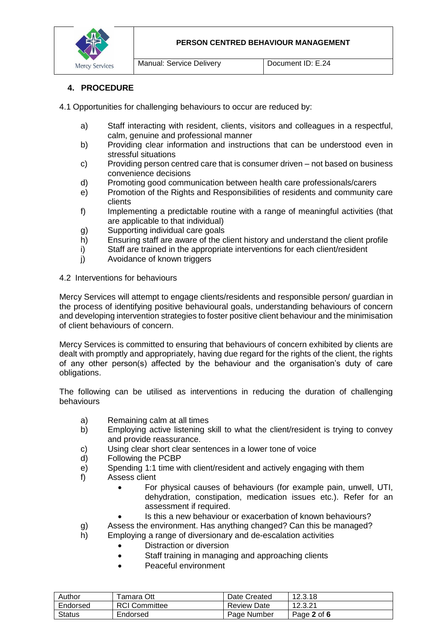

## **4. PROCEDURE**

4.1 Opportunities for challenging behaviours to occur are reduced by:

- a) Staff interacting with resident, clients, visitors and colleagues in a respectful, calm, genuine and professional manner
- b) Providing clear information and instructions that can be understood even in stressful situations
- c) Providing person centred care that is consumer driven not based on business convenience decisions
- d) Promoting good communication between health care professionals/carers
- e) Promotion of the Rights and Responsibilities of residents and community care clients
- f) Implementing a predictable routine with a range of meaningful activities (that are applicable to that individual)
- g) Supporting individual care goals
- h) Ensuring staff are aware of the client history and understand the client profile
- i) Staff are trained in the appropriate interventions for each client/resident
- j) Avoidance of known triggers
- 4.2 Interventions for behaviours

Mercy Services will attempt to engage clients/residents and responsible person/ guardian in the process of identifying positive behavioural goals, understanding behaviours of concern and developing intervention strategies to foster positive client behaviour and the minimisation of client behaviours of concern.

Mercy Services is committed to ensuring that behaviours of concern exhibited by clients are dealt with promptly and appropriately, having due regard for the rights of the client, the rights of any other person(s) affected by the behaviour and the organisation's duty of care obligations.

The following can be utilised as interventions in reducing the duration of challenging behaviours

- a) Remaining calm at all times
- b) Employing active listening skill to what the client/resident is trying to convey and provide reassurance.
- c) Using clear short clear sentences in a lower tone of voice<br>d) Following the PCBP
- Following the PCBP
- e) Spending 1:1 time with client/resident and actively engaging with them
- f) Assess client
	- For physical causes of behaviours (for example pain, unwell, UTI, dehydration, constipation, medication issues etc.). Refer for an assessment if required.
	- Is this a new behaviour or exacerbation of known behaviours?
- g) Assess the environment. Has anything changed? Can this be managed?
- h) Employing a range of diversionary and de-escalation activities
	- Distraction or diversion
	- Staff training in managing and approaching clients
	- Peaceful environment

| Author   | ⊺amara Ott           | Date Created | 12.3.18     |
|----------|----------------------|--------------|-------------|
| Endorsed | <b>RCI Committee</b> | Review Date  | 12.3.21     |
| Status   | Endorsed             | Page Number  | Page 2 of 6 |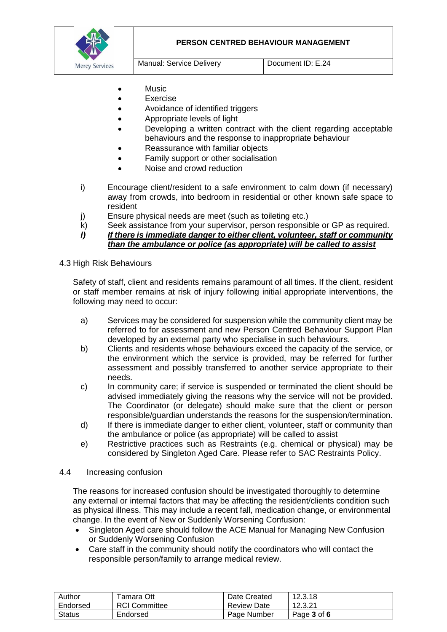

- **Music**
- Exercise
- Avoidance of identified triggers
- Appropriate levels of light
- Developing a written contract with the client regarding acceptable behaviours and the response to inappropriate behaviour
- Reassurance with familiar objects
- Family support or other socialisation
- Noise and crowd reduction
- i) Encourage client/resident to a safe environment to calm down (if necessary) away from crowds, into bedroom in residential or other known safe space to resident
- j) Ensure physical needs are meet (such as toileting etc.)
- k) Seek assistance from your supervisor, person responsible or GP as required.
- *l) If there is immediate danger to either client, volunteer, staff or community than the ambulance or police (as appropriate) will be called to assist*

#### 4.3 High Risk Behaviours

Safety of staff, client and residents remains paramount of all times. If the client, resident or staff member remains at risk of injury following initial appropriate interventions, the following may need to occur:

- a) Services may be considered for suspension while the community client may be referred to for assessment and new Person Centred Behaviour Support Plan developed by an external party who specialise in such behaviours.
- b) Clients and residents whose behaviours exceed the capacity of the service, or the environment which the service is provided, may be referred for further assessment and possibly transferred to another service appropriate to their needs.
- c) In community care; if service is suspended or terminated the client should be advised immediately giving the reasons why the service will not be provided. The Coordinator (or delegate) should make sure that the client or person responsible/guardian understands the reasons for the suspension/termination.
- d) If there is immediate danger to either client, volunteer, staff or community than the ambulance or police (as appropriate) will be called to assist
- e) Restrictive practices such as Restraints (e.g. chemical or physical) may be considered by Singleton Aged Care. Please refer to SAC Restraints Policy.

#### 4.4 Increasing confusion

The reasons for increased confusion should be investigated thoroughly to determine any external or internal factors that may be affecting the resident/clients condition such as physical illness. This may include a recent fall, medication change, or environmental change. In the event of New or Suddenly Worsening Confusion:

- Singleton Aged care should follow the ACE Manual for Managing New Confusion or Suddenly Worsening Confusion
- Care staff in the community should notify the coordinators who will contact the responsible person/family to arrange medical review.

| Author   | Гаmаrа Ott           | Date Created       | 12.3.18     |
|----------|----------------------|--------------------|-------------|
| Endorsed | <b>RCI</b> Committee | <b>Review Date</b> | 12.3.21     |
| Status   | Endorsed             | Page Number        | Page 3 of 6 |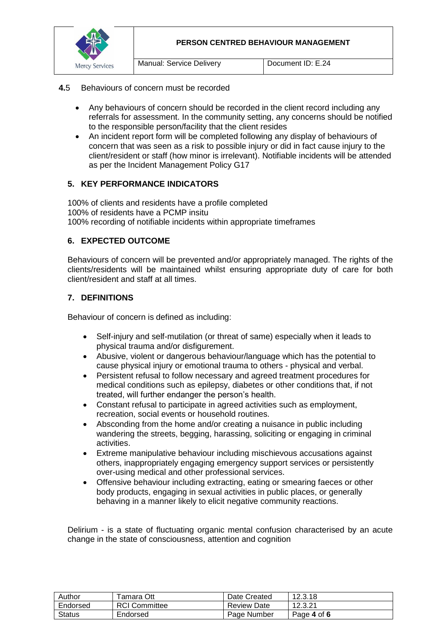

#### **4.**5 Behaviours of concern must be recorded

- Any behaviours of concern should be recorded in the client record including any referrals for assessment. In the community setting, any concerns should be notified to the responsible person/facility that the client resides
- An incident report form will be completed following any display of behaviours of concern that was seen as a risk to possible injury or did in fact cause injury to the client/resident or staff (how minor is irrelevant). Notifiable incidents will be attended as per the Incident Management Policy G17

#### **5. KEY PERFORMANCE INDICATORS**

100% of clients and residents have a profile completed 100% of residents have a PCMP insitu 100% recording of notifiable incidents within appropriate timeframes

#### **6. EXPECTED OUTCOME**

Behaviours of concern will be prevented and/or appropriately managed. The rights of the clients/residents will be maintained whilst ensuring appropriate duty of care for both client/resident and staff at all times.

#### **7. DEFINITIONS**

Behaviour of concern is defined as including:

- Self-injury and self-mutilation (or threat of same) especially when it leads to physical trauma and/or disfigurement.
- Abusive, violent or dangerous behaviour/language which has the potential to cause physical injury or emotional trauma to others - physical and verbal.
- Persistent refusal to follow necessary and agreed treatment procedures for medical conditions such as epilepsy, diabetes or other conditions that, if not treated, will further endanger the person's health.
- Constant refusal to participate in agreed activities such as employment, recreation, social events or household routines.
- Absconding from the home and/or creating a nuisance in public including wandering the streets, begging, harassing, soliciting or engaging in criminal activities.
- Extreme manipulative behaviour including mischievous accusations against others, inappropriately engaging emergency support services or persistently over-using medical and other professional services.
- Offensive behaviour including extracting, eating or smearing faeces or other body products, engaging in sexual activities in public places, or generally behaving in a manner likely to elicit negative community reactions.

Delirium - is a state of fluctuating organic mental confusion characterised by an acute change in the state of consciousness, attention and cognition

| Author   | Гаmara Ott           | Date Created       | 12.3.18     |
|----------|----------------------|--------------------|-------------|
| Endorsed | <b>RCI Committee</b> | <b>Review Date</b> | 12.3.21     |
| Status   | Endorsed             | Page Number        | Page 4 of 6 |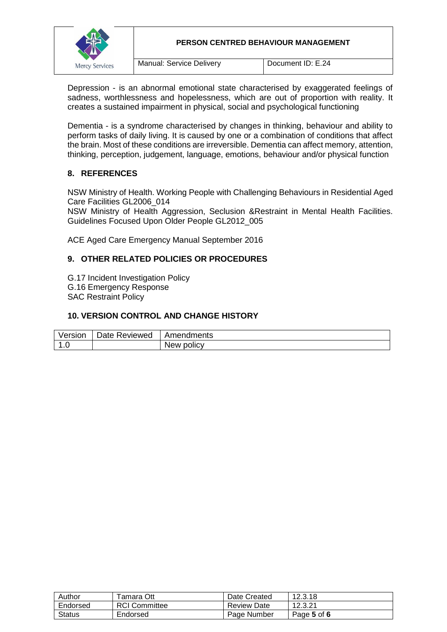

Depression - is an abnormal emotional state characterised by exaggerated feelings of sadness, worthlessness and hopelessness, which are out of proportion with reality. It creates a sustained impairment in physical, social and psychological functioning

Dementia - is a syndrome characterised by changes in thinking, behaviour and ability to perform tasks of daily living. It is caused by one or a combination of conditions that affect the brain. Most of these conditions are irreversible. Dementia can affect memory, attention, thinking, perception, judgement, language, emotions, behaviour and/or physical function

## **8. REFERENCES**

NSW Ministry of Health. Working People with Challenging Behaviours in Residential Aged Care Facilities GL2006\_014

NSW Ministry of Health Aggression, Seclusion &Restraint in Mental Health Facilities. Guidelines Focused Upon Older People GL2012\_005

ACE Aged Care Emergency Manual September 2016

## **9. OTHER RELATED POLICIES OR PROCEDURES**

G.17 Incident Investigation Policy G.16 Emergency Response SAC Restraint Policy

#### **10. VERSION CONTROL AND CHANGE HISTORY**

| Version                                  | Date Reviewed | Amendments |
|------------------------------------------|---------------|------------|
| $\overline{\phantom{a}}$<br>$\mathbf{L}$ |               | New policy |

| Author        | Tamara Ott           | Date Created       | 12.3.18     |
|---------------|----------------------|--------------------|-------------|
| Endorsed      | <b>RCI Committee</b> | <b>Review Date</b> | 12.3.21     |
| <b>Status</b> | Endorsed             | Page Number        | Page 5 of 6 |